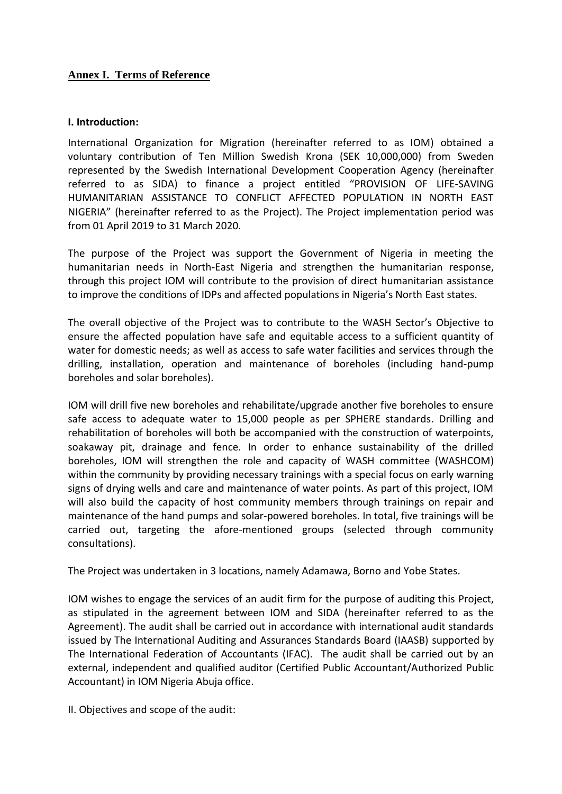# **Annex I. Terms of Reference**

#### **I. Introduction:**

International Organization for Migration (hereinafter referred to as IOM) obtained a voluntary contribution of Ten Million Swedish Krona (SEK 10,000,000) from Sweden represented by the Swedish International Development Cooperation Agency (hereinafter referred to as SIDA) to finance a project entitled "PROVISION OF LIFE-SAVING HUMANITARIAN ASSISTANCE TO CONFLICT AFFECTED POPULATION IN NORTH EAST NIGERIA" (hereinafter referred to as the Project). The Project implementation period was from 01 April 2019 to 31 March 2020.

The purpose of the Project was support the Government of Nigeria in meeting the humanitarian needs in North-East Nigeria and strengthen the humanitarian response, through this project IOM will contribute to the provision of direct humanitarian assistance to improve the conditions of IDPs and affected populations in Nigeria's North East states.

The overall objective of the Project was to contribute to the WASH Sector's Objective to ensure the affected population have safe and equitable access to a sufficient quantity of water for domestic needs; as well as access to safe water facilities and services through the drilling, installation, operation and maintenance of boreholes (including hand-pump boreholes and solar boreholes).

IOM will drill five new boreholes and rehabilitate/upgrade another five boreholes to ensure safe access to adequate water to 15,000 people as per SPHERE standards. Drilling and rehabilitation of boreholes will both be accompanied with the construction of waterpoints, soakaway pit, drainage and fence. In order to enhance sustainability of the drilled boreholes, IOM will strengthen the role and capacity of WASH committee (WASHCOM) within the community by providing necessary trainings with a special focus on early warning signs of drying wells and care and maintenance of water points. As part of this project, IOM will also build the capacity of host community members through trainings on repair and maintenance of the hand pumps and solar-powered boreholes. In total, five trainings will be carried out, targeting the afore-mentioned groups (selected through community consultations).

The Project was undertaken in 3 locations, namely Adamawa, Borno and Yobe States.

IOM wishes to engage the services of an audit firm for the purpose of auditing this Project, as stipulated in the agreement between IOM and SIDA (hereinafter referred to as the Agreement). The audit shall be carried out in accordance with international audit standards issued by The International Auditing and Assurances Standards Board (IAASB) supported by The International Federation of Accountants (IFAC). The audit shall be carried out by an external, independent and qualified auditor (Certified Public Accountant/Authorized Public Accountant) in IOM Nigeria Abuja office.

II. Objectives and scope of the audit: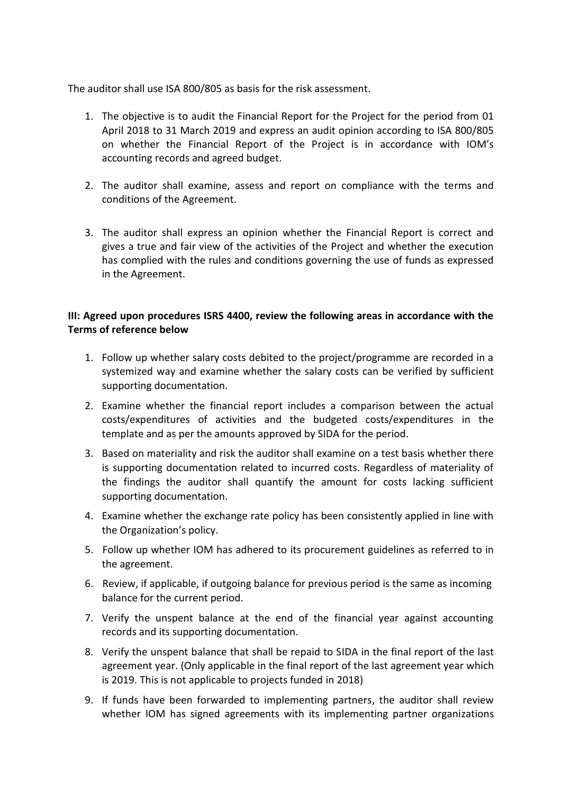The auditor shall use ISA 800/805 as basis for the risk assessment.

- 1. The objective is to audit the Financial Report for the Project for the period from 01 April 2018 to 31 March 2019 and express an audit opinion according to ISA 800/805 on whether the Financial Report of the Project is in accordance with IOM's accounting records and agreed budget.
- 2. The auditor shall examine, assess and report on compliance with the terms and conditions of the Agreement.
- 3. The auditor shall express an opinion whether the Financial Report is correct and gives a true and fair view of the activities of the Project and whether the execution has complied with the rules and conditions governing the use of funds as expressed in the Agreement.

# **III: Agreed upon procedures ISRS 4400, review the following areas in accordance with the Terms of reference below**

- 1. Follow up whether salary costs debited to the project/programme are recorded in a systemized way and examine whether the salary costs can be verified by sufficient supporting documentation.
- 2. Examine whether the financial report includes a comparison between the actual costs/expenditures of activities and the budgeted costs/expenditures in the template and as per the amounts approved by SIDA for the period.
- 3. Based on materiality and risk the auditor shall examine on a test basis whether there is supporting documentation related to incurred costs. Regardless of materiality of the findings the auditor shall quantify the amount for costs lacking sufficient supporting documentation.
- 4. Examine whether the exchange rate policy has been consistently applied in line with the Organization's policy.
- 5. Follow up whether IOM has adhered to its procurement guidelines as referred to in the agreement.
- 6. Review, if applicable, if outgoing balance for previous period is the same as incoming balance for the current period.
- 7. Verify the unspent balance at the end of the financial year against accounting records and its supporting documentation.
- 8. Verify the unspent balance that shall be repaid to SIDA in the final report of the last agreement year. (Only applicable in the final report of the last agreement year which is 2019. This is not applicable to projects funded in 2018)
- 9. If funds have been forwarded to implementing partners, the auditor shall review whether IOM has signed agreements with its implementing partner organizations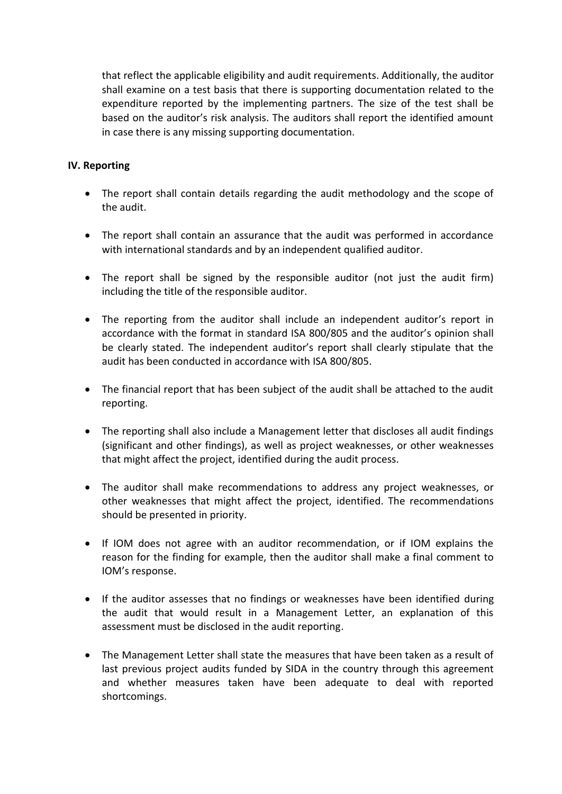that reflect the applicable eligibility and audit requirements. Additionally, the auditor shall examine on a test basis that there is supporting documentation related to the expenditure reported by the implementing partners. The size of the test shall be based on the auditor's risk analysis. The auditors shall report the identified amount in case there is any missing supporting documentation.

# **IV. Reporting**

- The report shall contain details regarding the audit methodology and the scope of the audit.
- The report shall contain an assurance that the audit was performed in accordance with international standards and by an independent qualified auditor.
- The report shall be signed by the responsible auditor (not just the audit firm) including the title of the responsible auditor.
- The reporting from the auditor shall include an independent auditor's report in accordance with the format in standard ISA 800/805 and the auditor's opinion shall be clearly stated. The independent auditor's report shall clearly stipulate that the audit has been conducted in accordance with ISA 800/805.
- The financial report that has been subject of the audit shall be attached to the audit reporting.
- The reporting shall also include a Management letter that discloses all audit findings (significant and other findings), as well as project weaknesses, or other weaknesses that might affect the project, identified during the audit process.
- The auditor shall make recommendations to address any project weaknesses, or other weaknesses that might affect the project, identified. The recommendations should be presented in priority.
- If IOM does not agree with an auditor recommendation, or if IOM explains the reason for the finding for example, then the auditor shall make a final comment to IOM's response.
- If the auditor assesses that no findings or weaknesses have been identified during the audit that would result in a Management Letter, an explanation of this assessment must be disclosed in the audit reporting.
- The Management Letter shall state the measures that have been taken as a result of last previous project audits funded by SIDA in the country through this agreement and whether measures taken have been adequate to deal with reported shortcomings.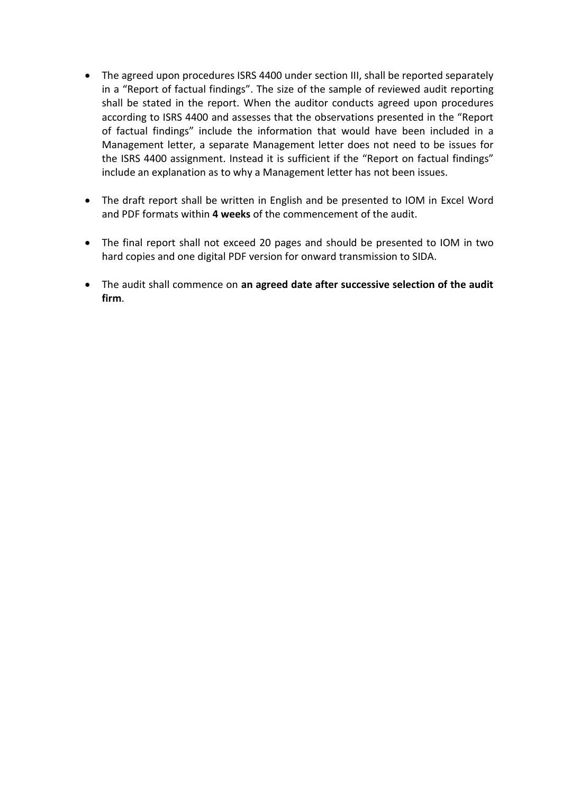- The agreed upon procedures ISRS 4400 under section III, shall be reported separately in a "Report of factual findings". The size of the sample of reviewed audit reporting shall be stated in the report. When the auditor conducts agreed upon procedures according to ISRS 4400 and assesses that the observations presented in the "Report of factual findings" include the information that would have been included in a Management letter, a separate Management letter does not need to be issues for the ISRS 4400 assignment. Instead it is sufficient if the "Report on factual findings" include an explanation as to why a Management letter has not been issues.
- The draft report shall be written in English and be presented to IOM in Excel Word and PDF formats within **4 weeks** of the commencement of the audit.
- The final report shall not exceed 20 pages and should be presented to IOM in two hard copies and one digital PDF version for onward transmission to SIDA.
- The audit shall commence on **an agreed date after successive selection of the audit firm**.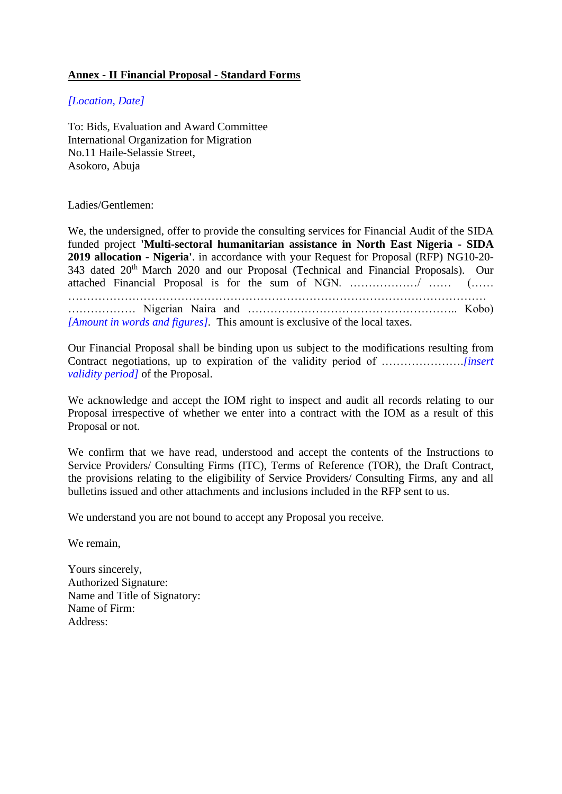# **Annex - II Financial Proposal - Standard Forms**

#### *[Location, Date]*

To: Bids, Evaluation and Award Committee International Organization for Migration No.11 Haile-Selassie Street, Asokoro, Abuja

#### Ladies/Gentlemen:

We, the undersigned, offer to provide the consulting services for Financial Audit of the SIDA funded project **'Multi-sectoral humanitarian assistance in North East Nigeria - SIDA 2019 allocation - Nigeria'**. in accordance with your Request for Proposal (RFP) NG10-20- 343 dated 20th March 2020 and our Proposal (Technical and Financial Proposals). Our attached Financial Proposal is for the sum of NGN. ………………/ …… (…… ………………………………………………………………………………………………… ……………… Nigerian Naira and ……………………………………………….. Kobo) *[Amount in words and figures].* This amount is exclusive of the local taxes.

Our Financial Proposal shall be binding upon us subject to the modifications resulting from Contract negotiations, up to expiration of the validity period of ………………….*[insert validity period]* of the Proposal.

We acknowledge and accept the IOM right to inspect and audit all records relating to our Proposal irrespective of whether we enter into a contract with the IOM as a result of this Proposal or not.

We confirm that we have read, understood and accept the contents of the Instructions to Service Providers/ Consulting Firms (ITC), Terms of Reference (TOR), the Draft Contract, the provisions relating to the eligibility of Service Providers/ Consulting Firms, any and all bulletins issued and other attachments and inclusions included in the RFP sent to us.

We understand you are not bound to accept any Proposal you receive.

We remain,

Yours sincerely, Authorized Signature: Name and Title of Signatory: Name of Firm: Address: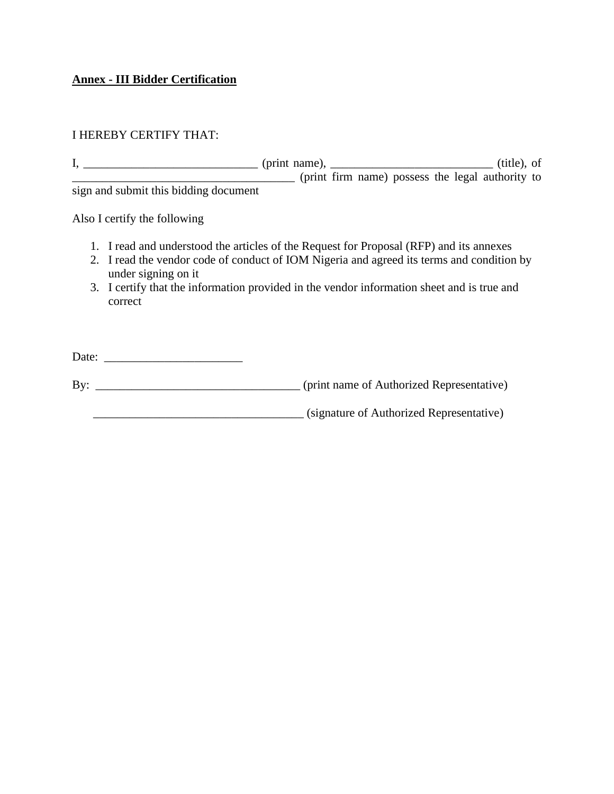#### **Annex - III Bidder Certification**

## I HEREBY CERTIFY THAT:

 $I, \underline{\hspace{1cm}}$  (print name),  $\underline{\hspace{1cm}}$  (title), of \_\_\_\_\_\_\_\_\_\_\_\_\_\_\_\_\_\_\_\_\_\_\_\_\_\_\_\_\_\_\_\_\_\_\_\_\_ (print firm name) possess the legal authority to sign and submit this bidding document

Also I certify the following

- 1. I read and understood the articles of the Request for Proposal (RFP) and its annexes
- 2. I read the vendor code of conduct of IOM Nigeria and agreed its terms and condition by under signing on it
- 3. I certify that the information provided in the vendor information sheet and is true and correct

| Date: |                                           |
|-------|-------------------------------------------|
| Bv:   | (print name of Authorized Representative) |
|       | (signature of Authorized Representative)  |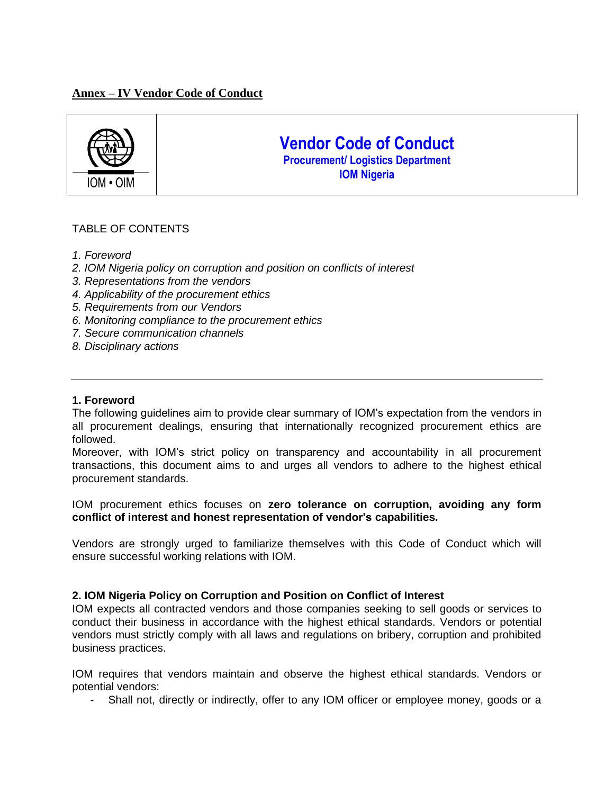## **Annex – IV Vendor Code of Conduct**



# **Vendor Code of Conduct Procurement/ Logistics Department IOM Nigeria**

## TABLE OF CONTENTS

- *1. Foreword*
- *2. IOM Nigeria policy on corruption and position on conflicts of interest*
- *3. Representations from the vendors*
- *4. Applicability of the procurement ethics*
- *5. Requirements from our Vendors*
- *6. Monitoring compliance to the procurement ethics*
- *7. Secure communication channels*
- *8. Disciplinary actions*

#### **1. Foreword**

The following guidelines aim to provide clear summary of IOM's expectation from the vendors in all procurement dealings, ensuring that internationally recognized procurement ethics are followed.

Moreover, with IOM's strict policy on transparency and accountability in all procurement transactions, this document aims to and urges all vendors to adhere to the highest ethical procurement standards.

IOM procurement ethics focuses on **zero tolerance on corruption, avoiding any form conflict of interest and honest representation of vendor's capabilities.** 

Vendors are strongly urged to familiarize themselves with this Code of Conduct which will ensure successful working relations with IOM.

#### **2. IOM Nigeria Policy on Corruption and Position on Conflict of Interest**

IOM expects all contracted vendors and those companies seeking to sell goods or services to conduct their business in accordance with the highest ethical standards. Vendors or potential vendors must strictly comply with all laws and regulations on bribery, corruption and prohibited business practices.

IOM requires that vendors maintain and observe the highest ethical standards. Vendors or potential vendors:

- Shall not, directly or indirectly, offer to any IOM officer or employee money, goods or a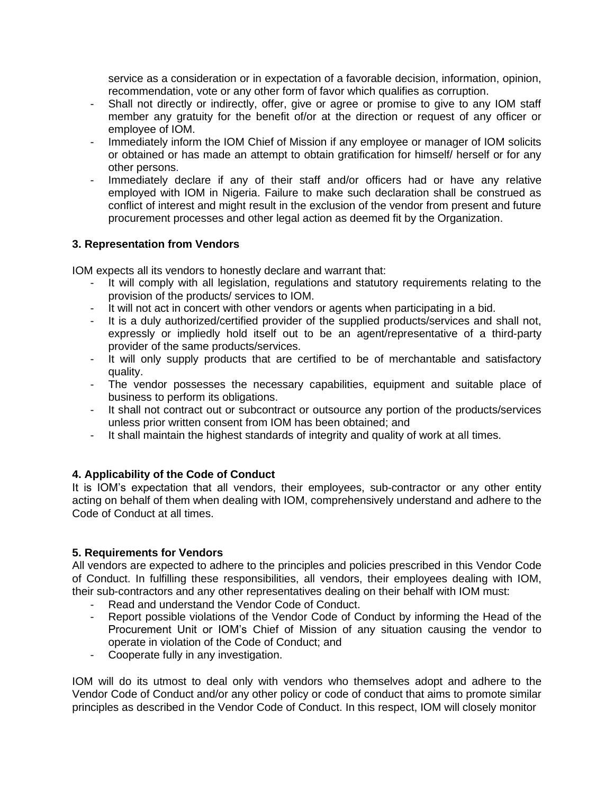service as a consideration or in expectation of a favorable decision, information, opinion, recommendation, vote or any other form of favor which qualifies as corruption.

- Shall not directly or indirectly, offer, give or agree or promise to give to any IOM staff member any gratuity for the benefit of/or at the direction or request of any officer or employee of IOM.
- Immediately inform the IOM Chief of Mission if any employee or manager of IOM solicits or obtained or has made an attempt to obtain gratification for himself/ herself or for any other persons.
- Immediately declare if any of their staff and/or officers had or have any relative employed with IOM in Nigeria. Failure to make such declaration shall be construed as conflict of interest and might result in the exclusion of the vendor from present and future procurement processes and other legal action as deemed fit by the Organization.

#### **3. Representation from Vendors**

IOM expects all its vendors to honestly declare and warrant that:

- It will comply with all legislation, regulations and statutory requirements relating to the provision of the products/ services to IOM.
- It will not act in concert with other vendors or agents when participating in a bid.
- It is a duly authorized/certified provider of the supplied products/services and shall not, expressly or impliedly hold itself out to be an agent/representative of a third-party provider of the same products/services.
- It will only supply products that are certified to be of merchantable and satisfactory quality.
- The vendor possesses the necessary capabilities, equipment and suitable place of business to perform its obligations.
- It shall not contract out or subcontract or outsource any portion of the products/services unless prior written consent from IOM has been obtained; and
- It shall maintain the highest standards of integrity and quality of work at all times.

# **4. Applicability of the Code of Conduct**

It is IOM's expectation that all vendors, their employees, sub-contractor or any other entity acting on behalf of them when dealing with IOM, comprehensively understand and adhere to the Code of Conduct at all times.

# **5. Requirements for Vendors**

All vendors are expected to adhere to the principles and policies prescribed in this Vendor Code of Conduct. In fulfilling these responsibilities, all vendors, their employees dealing with IOM, their sub-contractors and any other representatives dealing on their behalf with IOM must:

- Read and understand the Vendor Code of Conduct.
- Report possible violations of the Vendor Code of Conduct by informing the Head of the Procurement Unit or IOM's Chief of Mission of any situation causing the vendor to operate in violation of the Code of Conduct; and
- Cooperate fully in any investigation.

IOM will do its utmost to deal only with vendors who themselves adopt and adhere to the Vendor Code of Conduct and/or any other policy or code of conduct that aims to promote similar principles as described in the Vendor Code of Conduct. In this respect, IOM will closely monitor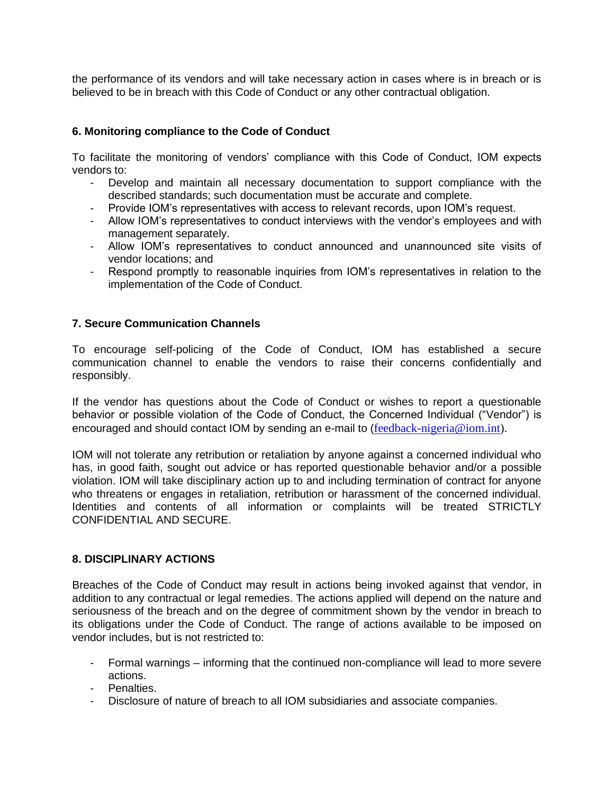the performance of its vendors and will take necessary action in cases where is in breach or is believed to be in breach with this Code of Conduct or any other contractual obligation.

#### **6. Monitoring compliance to the Code of Conduct**

To facilitate the monitoring of vendors' compliance with this Code of Conduct, IOM expects vendors to:

- Develop and maintain all necessary documentation to support compliance with the described standards; such documentation must be accurate and complete.
- Provide IOM's representatives with access to relevant records, upon IOM's request.
- Allow IOM's representatives to conduct interviews with the vendor's employees and with management separately.
- Allow IOM's representatives to conduct announced and unannounced site visits of vendor locations; and
- Respond promptly to reasonable inquiries from IOM's representatives in relation to the implementation of the Code of Conduct.

#### **7. Secure Communication Channels**

To encourage self-policing of the Code of Conduct, IOM has established a secure communication channel to enable the vendors to raise their concerns confidentially and responsibly.

If the vendor has questions about the Code of Conduct or wishes to report a questionable behavior or possible violation of the Code of Conduct, the Concerned Individual ("Vendor") is encouraged and should contact IOM by sending an e-mail to ([feedback-nigeria@iom.int\)](mailto:feedback-nigeria@iom.int).

IOM will not tolerate any retribution or retaliation by anyone against a concerned individual who has, in good faith, sought out advice or has reported questionable behavior and/or a possible violation. IOM will take disciplinary action up to and including termination of contract for anyone who threatens or engages in retaliation, retribution or harassment of the concerned individual. Identities and contents of all information or complaints will be treated STRICTLY CONFIDENTIAL AND SECURE.

#### **8. DISCIPLINARY ACTIONS**

Breaches of the Code of Conduct may result in actions being invoked against that vendor, in addition to any contractual or legal remedies. The actions applied will depend on the nature and seriousness of the breach and on the degree of commitment shown by the vendor in breach to its obligations under the Code of Conduct. The range of actions available to be imposed on vendor includes, but is not restricted to:

- Formal warnings informing that the continued non-compliance will lead to more severe actions.
- Penalties.
- Disclosure of nature of breach to all IOM subsidiaries and associate companies.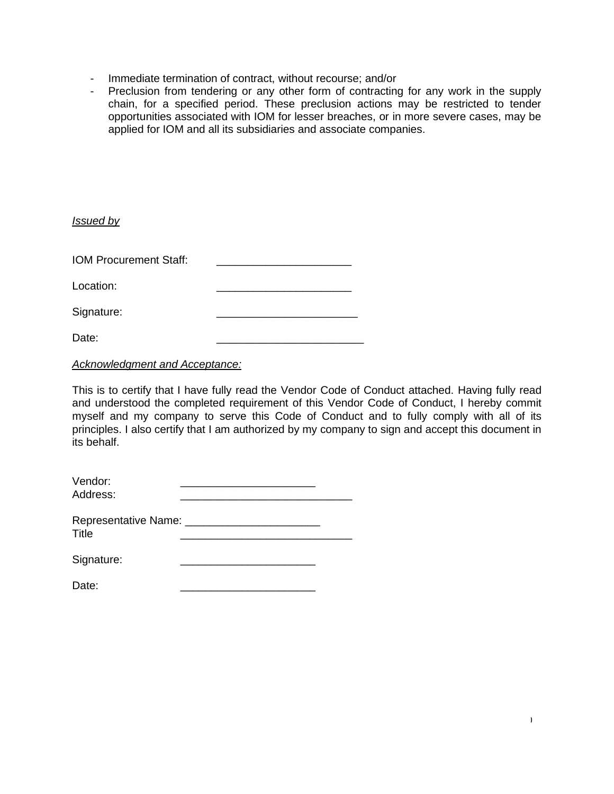- Immediate termination of contract, without recourse; and/or
- Preclusion from tendering or any other form of contracting for any work in the supply chain, for a specified period. These preclusion actions may be restricted to tender opportunities associated with IOM for lesser breaches, or in more severe cases, may be applied for IOM and all its subsidiaries and associate companies.

*Issued by*

IOM Procurement Staff:

Location:

Signature:

Date: \_\_\_\_\_\_\_\_\_\_\_\_\_\_\_\_\_\_\_\_\_\_\_\_

*Acknowledgment and Acceptance:*

This is to certify that I have fully read the Vendor Code of Conduct attached. Having fully read and understood the completed requirement of this Vendor Code of Conduct, I hereby commit myself and my company to serve this Code of Conduct and to fully comply with all of its principles. I also certify that I am authorized by my company to sign and accept this document in its behalf.

10

| Vendor:  |  |
|----------|--|
| Address: |  |

| <b>Representative Name:</b> |  |
|-----------------------------|--|
| Title                       |  |

| Signature: |  |
|------------|--|
|------------|--|

Date: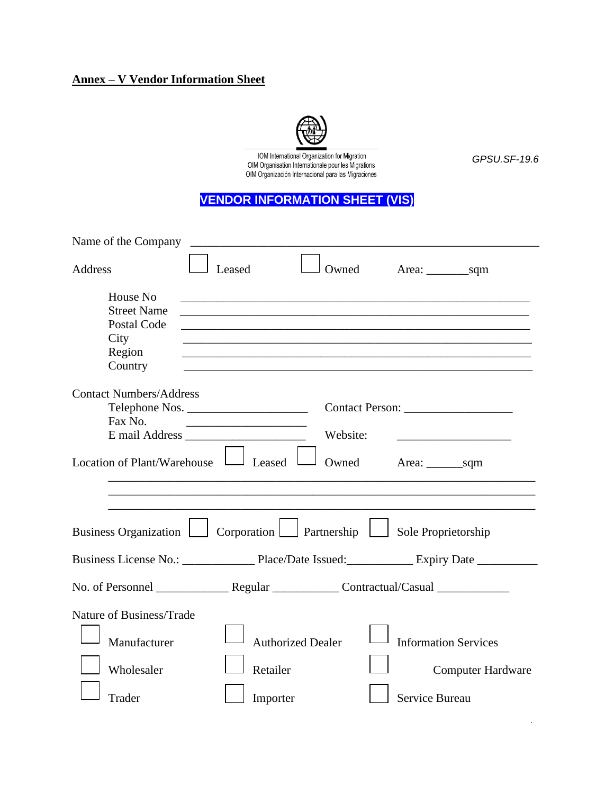# **Annex – V Vendor Information Sheet**



IOM International Organization for Migration<br>OIM Organisation Internationale pour les Migrations<br>OIM Organización Internacional para las Migraciones

*GPSU.SF-19.6*

# **VENDOR INFORMATION SHEET (VIS)**

| Name of the Company                                                     |          |                          |                                                                                                                       |
|-------------------------------------------------------------------------|----------|--------------------------|-----------------------------------------------------------------------------------------------------------------------|
| Address                                                                 | Leased   | Owned                    |                                                                                                                       |
| House No                                                                |          |                          |                                                                                                                       |
| <b>Street Name</b>                                                      |          |                          |                                                                                                                       |
| Postal Code                                                             |          |                          |                                                                                                                       |
| City                                                                    |          |                          |                                                                                                                       |
| Region                                                                  |          |                          |                                                                                                                       |
| Country                                                                 |          |                          |                                                                                                                       |
| <b>Contact Numbers/Address</b>                                          |          |                          |                                                                                                                       |
|                                                                         |          |                          | Contact Person:                                                                                                       |
| Fax No.                                                                 |          |                          |                                                                                                                       |
|                                                                         |          | Website:                 | <u> 1990 - Johann Barbara, martin amerikan basar dan berasal dalam basar dalam basar dalam basar dalam basar dala</u> |
| Location of Plant/Warehouse $\Box$ Leased                               |          | Owned                    |                                                                                                                       |
| Business Organization   Corporation   Partnership   Sole Proprietorship |          |                          |                                                                                                                       |
|                                                                         |          |                          |                                                                                                                       |
|                                                                         |          |                          |                                                                                                                       |
| Nature of Business/Trade                                                |          |                          |                                                                                                                       |
| Manufacturer                                                            |          | <b>Authorized Dealer</b> | <b>Information Services</b>                                                                                           |
| Wholesaler                                                              | Retailer |                          | <b>Computer Hardware</b>                                                                                              |
| Trader                                                                  | Importer |                          | Service Bureau                                                                                                        |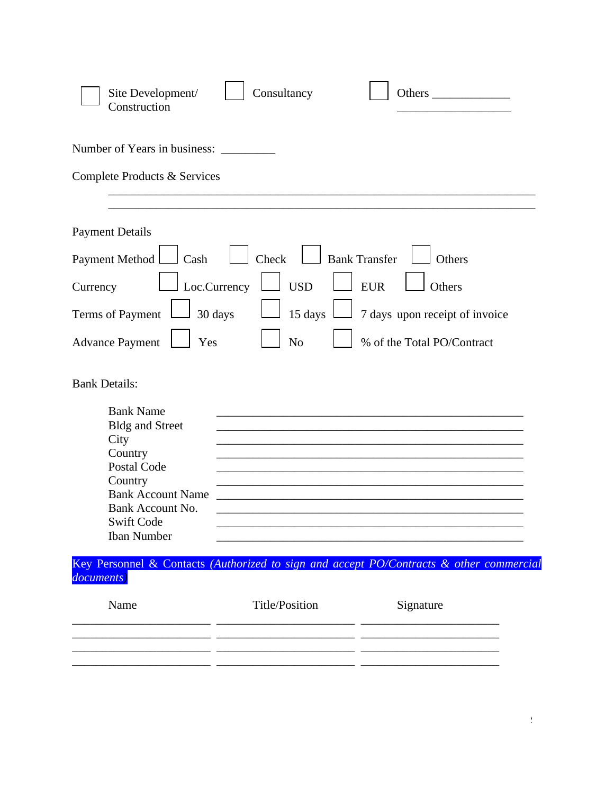| Consultancy<br>Site Development/<br>Construction                                                                                                                                                                                                                                                      |                                                                                                |
|-------------------------------------------------------------------------------------------------------------------------------------------------------------------------------------------------------------------------------------------------------------------------------------------------------|------------------------------------------------------------------------------------------------|
| Number of Years in business:                                                                                                                                                                                                                                                                          |                                                                                                |
| Complete Products & Services                                                                                                                                                                                                                                                                          |                                                                                                |
| <b>Payment Details</b><br>Payment Method<br>Check<br><b>Bank Transfer</b><br>Cash<br>Loc.Currency<br><b>USD</b><br>Currency<br>30 days<br>15 days<br>Terms of Payment<br>N <sub>o</sub><br>Yes<br><b>Advance Payment</b>                                                                              | Others<br><b>EUR</b><br>Others<br>7 days upon receipt of invoice<br>% of the Total PO/Contract |
| <b>Bank Details:</b><br><b>Bank Name</b><br><b>Bldg and Street</b><br>City<br>Country<br>Postal Code<br>Country<br><b>Bank Account Name</b><br>Bank Account No.<br><b>Swift Code</b><br><b>Iban Number</b><br>Key Personnel & Contacts (Authorized to sign and accept PO/Contracts & other commercial |                                                                                                |
| documents)<br><b>Title/Position</b><br>Name                                                                                                                                                                                                                                                           | Signature                                                                                      |
|                                                                                                                                                                                                                                                                                                       |                                                                                                |

\_\_\_\_\_\_\_\_\_\_\_\_\_\_\_\_\_\_\_\_\_\_\_ \_\_\_\_\_\_\_\_\_\_\_\_\_\_\_\_\_\_\_\_\_\_\_ \_\_\_\_\_\_\_\_\_\_\_\_\_\_\_\_\_\_\_\_\_\_\_

 $\frac{1}{2}$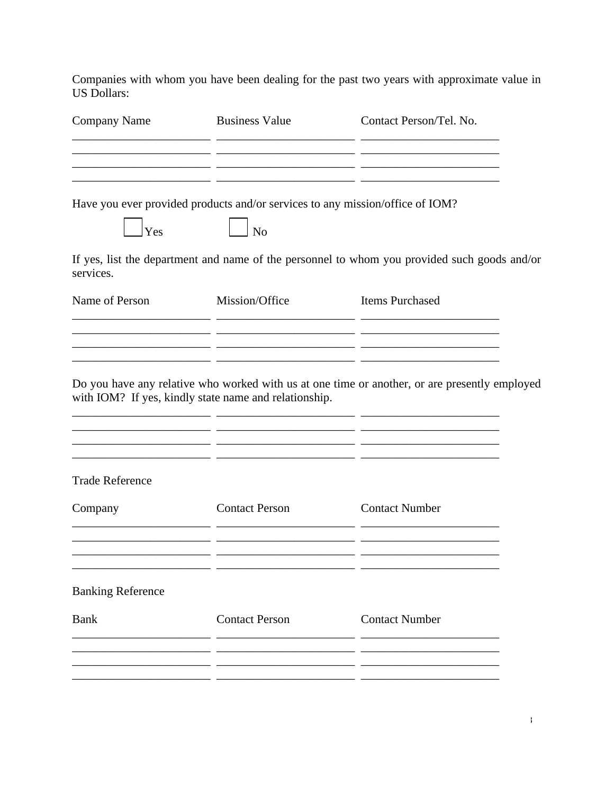Companies with whom you have been dealing for the past two years with approximate value in US Dollars:

| <b>Company Name</b>      | <b>Business Value</b>                                                         | Contact Person/Tel. No.                                                                       |
|--------------------------|-------------------------------------------------------------------------------|-----------------------------------------------------------------------------------------------|
|                          |                                                                               |                                                                                               |
|                          | Have you ever provided products and/or services to any mission/office of IOM? |                                                                                               |
| Yes                      | No.                                                                           |                                                                                               |
| services.                |                                                                               | If yes, list the department and name of the personnel to whom you provided such goods and/or  |
| Name of Person           | Mission/Office                                                                | <b>Items Purchased</b>                                                                        |
|                          |                                                                               |                                                                                               |
|                          | with IOM? If yes, kindly state name and relationship.                         | Do you have any relative who worked with us at one time or another, or are presently employed |
| <b>Trade Reference</b>   |                                                                               |                                                                                               |
| Company                  | <b>Contact Person</b><br>. .                                                  | <b>Contact Number</b><br>- -                                                                  |
| <b>Banking Reference</b> |                                                                               |                                                                                               |
| <b>Bank</b>              | <b>Contact Person</b>                                                         | <b>Contact Number</b>                                                                         |
|                          |                                                                               |                                                                                               |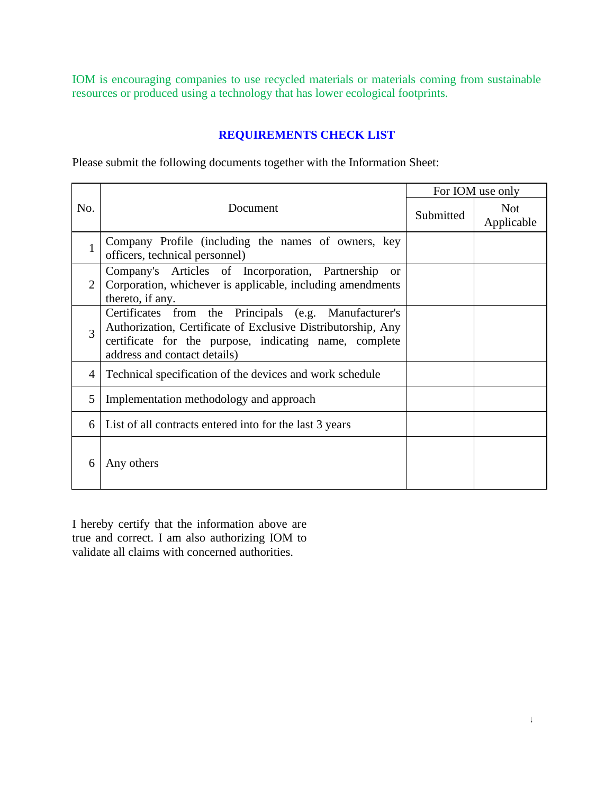IOM is encouraging companies to use recycled materials or materials coming from sustainable resources or produced using a technology that has lower ecological footprints.

# **REQUIREMENTS CHECK LIST**

Please submit the following documents together with the Information Sheet:

|                 |                                                                                                                                                                                                                 | For IOM use only |                          |
|-----------------|-----------------------------------------------------------------------------------------------------------------------------------------------------------------------------------------------------------------|------------------|--------------------------|
| No.<br>Document |                                                                                                                                                                                                                 | Submitted        | <b>Not</b><br>Applicable |
| $\mathbf{1}$    | Company Profile (including the names of owners, key<br>officers, technical personnel)                                                                                                                           |                  |                          |
| $\overline{2}$  | Company's Articles of Incorporation, Partnership<br><sub>or</sub><br>Corporation, whichever is applicable, including amendments<br>thereto, if any.                                                             |                  |                          |
| 3               | Certificates from the Principals (e.g. Manufacturer's<br>Authorization, Certificate of Exclusive Distributorship, Any<br>certificate for the purpose, indicating name, complete<br>address and contact details) |                  |                          |
| 4               | Technical specification of the devices and work schedule                                                                                                                                                        |                  |                          |
| 5               | Implementation methodology and approach                                                                                                                                                                         |                  |                          |
| 6               | List of all contracts entered into for the last 3 years                                                                                                                                                         |                  |                          |
| 6               | Any others                                                                                                                                                                                                      |                  |                          |

I hereby certify that the information above are true and correct. I am also authorizing IOM to validate all claims with concerned authorities.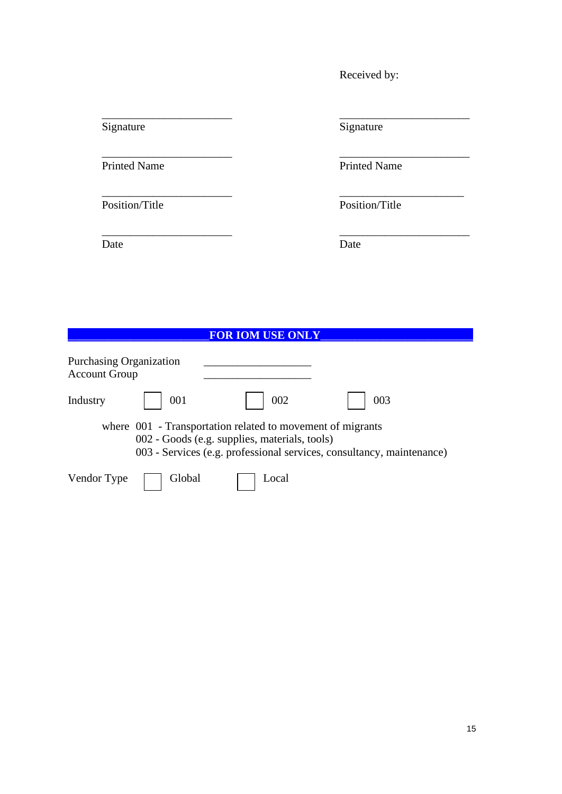Received by:

Date Date Date

Signature Signature Signature

\_\_\_\_\_\_\_\_\_\_\_\_\_\_\_\_\_\_\_\_\_\_\_ \_\_\_\_\_\_\_\_\_\_\_\_\_\_\_\_\_\_\_\_\_\_\_

\_\_\_\_\_\_\_\_\_\_\_\_\_\_\_\_\_\_\_\_\_\_\_ \_\_\_\_\_\_\_\_\_\_\_\_\_\_\_\_\_\_\_\_\_\_\_

\_\_\_\_\_\_\_\_\_\_\_\_\_\_\_\_\_\_\_\_\_\_\_ \_\_\_\_\_\_\_\_\_\_\_\_\_\_\_\_\_\_\_\_\_\_

\_\_\_\_\_\_\_\_\_\_\_\_\_\_\_\_\_\_\_\_\_\_\_ \_\_\_\_\_\_\_\_\_\_\_\_\_\_\_\_\_\_\_\_\_\_\_

Printed Name Printed Name

Position/Title Position/Title

# \_\_\_\_\_\_\_\_\_\_\_\_\_\_\_\_\_\_\_\_\_\_\_\_\_**FOR IOM USE ONLY**\_\_\_\_\_\_\_\_\_\_\_\_\_\_\_\_\_\_\_\_\_\_\_\_\_\_\_ Purchasing Organization Account Group Industry 001 002 003 where  $001$  - Transportation related to movement of migrants 002 - Goods (e.g. supplies, materials, tools) 003 - Services (e.g. professional services, consultancy, maintenance) Vendor Type Global Docal